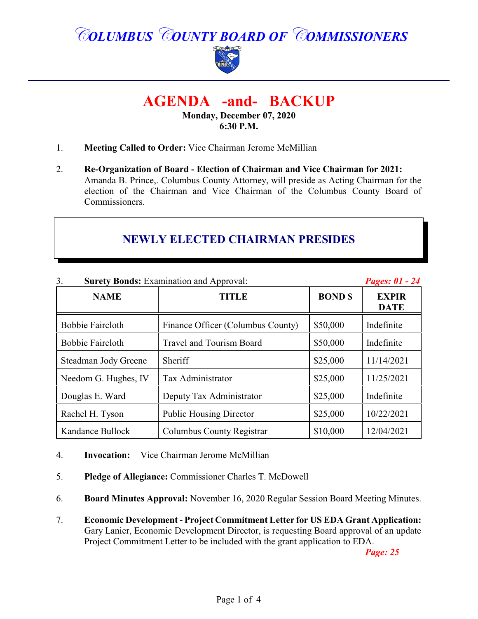*COLUMBUS COUNTY BOARD OF COMMISSIONERS*



# **AGENDA -and- BACKUP**

**Monday, December 07, 2020 6:30 P.M.**

- 1. **Meeting Called to Order:** Vice Chairman Jerome McMillian
- 2. **Re-Organization of Board Election of Chairman and Vice Chairman for 2021:** Amanda B. Prince,. Columbus County Attorney, will preside as Acting Chairman for the election of the Chairman and Vice Chairman of the Columbus County Board of Commissioners.

## **NEWLY ELECTED CHAIRMAN PRESIDES**

| 3.<br><b>Surety Bonds: Examination and Approval:</b> |                                   |                | Pages: 01 - 24              |
|------------------------------------------------------|-----------------------------------|----------------|-----------------------------|
| <b>NAME</b>                                          | <b>TITLE</b>                      | <b>BOND \$</b> | <b>EXPIR</b><br><b>DATE</b> |
| <b>Bobbie Faircloth</b>                              | Finance Officer (Columbus County) | \$50,000       | Indefinite                  |
| <b>Bobbie Faircloth</b>                              | Travel and Tourism Board          | \$50,000       | Indefinite                  |
| Steadman Jody Greene                                 | Sheriff                           | \$25,000       | 11/14/2021                  |
| Needom G. Hughes, IV                                 | Tax Administrator                 | \$25,000       | 11/25/2021                  |
| Douglas E. Ward                                      | Deputy Tax Administrator          | \$25,000       | Indefinite                  |
| Rachel H. Tyson                                      | <b>Public Housing Director</b>    | \$25,000       | 10/22/2021                  |
| Kandance Bullock                                     | Columbus County Registrar         | \$10,000       | 12/04/2021                  |

- 4. **Invocation:** Vice Chairman Jerome McMillian
- 5. **Pledge of Allegiance:** Commissioner Charles T. McDowell
- 6. **Board Minutes Approval:** November 16, 2020 Regular Session Board Meeting Minutes.
- 7. **Economic Development Project Commitment Letter for US EDA Grant Application:** Gary Lanier, Economic Development Director, is requesting Board approval of an update Project Commitment Letter to be included with the grant application to EDA.

*Page: 25*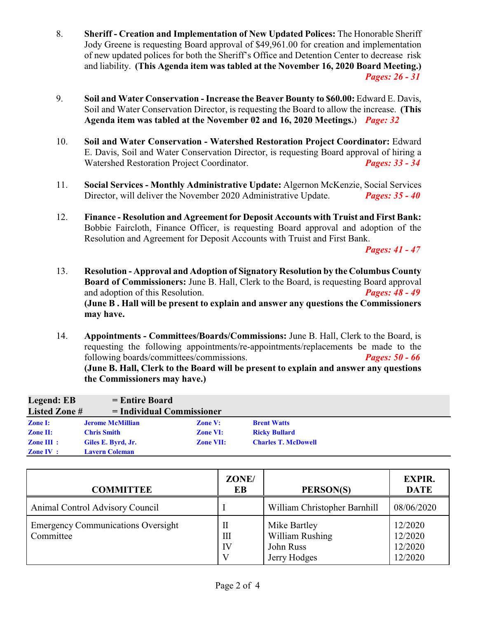- 8. **Sheriff Creation and Implementation of New Updated Polices:** The Honorable Sheriff Jody Greene is requesting Board approval of \$49,961.00 for creation and implementation of new updated polices for both the Sheriff's Office and Detention Center to decrease risk and liability. **(This Agenda item was tabled at the November 16, 2020 Board Meeting.)** *Pages: 26 - 31*
- 9. **Soil and Water Conservation Increase the Beaver Bounty to \$60.00:** Edward E. Davis, Soil and Water Conservation Director, is requesting the Board to allow the increase. **(This Agenda item was tabled at the November 02 and 16, 2020 Meetings.**) *Page: 32*
- 10. **Soil and Water Conservation Watershed Restoration Project Coordinator:** Edward E. Davis, Soil and Water Conservation Director, is requesting Board approval of hiring a Watershed Restoration Project Coordinator. *Pages: 33 - 34*
- 11. **Social Services Monthly Administrative Update:** Algernon McKenzie, Social Services Director, will deliver the November 2020 Administrative Update. *Pages: 35 - 40*
- 12. **Finance Resolution and Agreement for Deposit Accounts with Truist and First Bank:** Bobbie Faircloth, Finance Officer, is requesting Board approval and adoption of the Resolution and Agreement for Deposit Accounts with Truist and First Bank.

*Pages: 41 - 47*

- 13. **Resolution Approval and Adoption of Signatory Resolution by the Columbus County Board of Commissioners:** June B. Hall, Clerk to the Board, is requesting Board approval and adoption of this Resolution. *Pages: 48 - 49* **(June B . Hall will be present to explain and answer any questions the Commissioners may have.**
- 14. **Appointments Committees/Boards/Commissions:** June B. Hall, Clerk to the Board, is requesting the following appointments/re-appointments/replacements be made to the following boards/committees/commissions. *Pages: 50 - 66* **(June B. Hall, Clerk to the Board will be present to explain and answer any questions the Commissioners may have.)**

| Legend: EB            | $=$ Entire Board            |                  |                            |  |
|-----------------------|-----------------------------|------------------|----------------------------|--|
| <b>Listed Zone#</b>   | $=$ Individual Commissioner |                  |                            |  |
| <b>Zone I:</b>        | <b>Jerome McMillian</b>     | <b>Zone V:</b>   | <b>Brent Watts</b>         |  |
| <b>Zone II:</b>       | <b>Chris Smith</b>          | <b>Zone VI:</b>  | <b>Ricky Bullard</b>       |  |
| $\mathbf{Zone}$ III : | Giles E. Byrd, Jr.          | <b>Zone VII:</b> | <b>Charles T. McDowell</b> |  |
| <b>Zone IV</b> :      | <b>Lavern Coleman</b>       |                  |                            |  |

| <b>COMMITTEE</b>                                       | ZONE/<br>EB  | PERSON(S)                                                    | <b>EXPIR.</b><br><b>DATE</b>             |
|--------------------------------------------------------|--------------|--------------------------------------------------------------|------------------------------------------|
| Animal Control Advisory Council                        |              | William Christopher Barnhill                                 | 08/06/2020                               |
| <b>Emergency Communications Oversight</b><br>Committee | П<br>Ш<br>IV | Mike Bartley<br>William Rushing<br>John Russ<br>Jerry Hodges | 12/2020<br>12/2020<br>12/2020<br>12/2020 |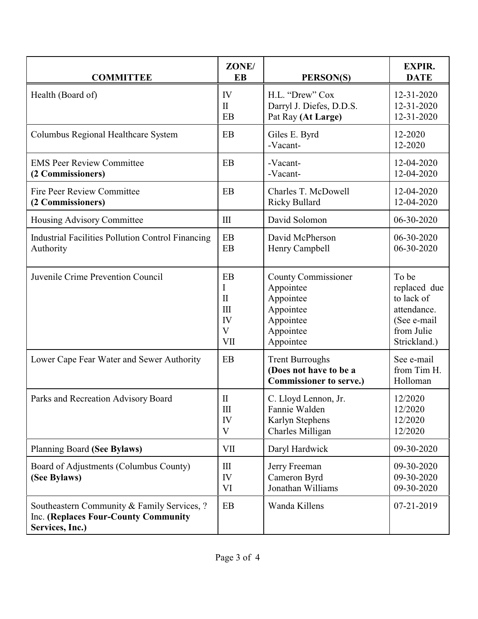| <b>COMMITTEE</b>                                                                                       | ZONE/<br><b>EB</b>                                            | <b>PERSON(S)</b>                                                                                         | <b>EXPIR.</b><br><b>DATE</b>                                                                    |
|--------------------------------------------------------------------------------------------------------|---------------------------------------------------------------|----------------------------------------------------------------------------------------------------------|-------------------------------------------------------------------------------------------------|
| Health (Board of)                                                                                      | IV<br>$\mathbf{I}$<br>EB                                      | H.L. "Drew" Cox<br>Darryl J. Diefes, D.D.S.<br>Pat Ray (At Large)                                        | 12-31-2020<br>12-31-2020<br>12-31-2020                                                          |
| Columbus Regional Healthcare System                                                                    | EB                                                            | Giles E. Byrd<br>-Vacant-                                                                                | 12-2020<br>12-2020                                                                              |
| <b>EMS Peer Review Committee</b><br>(2 Commissioners)                                                  | EB                                                            | -Vacant-<br>-Vacant-                                                                                     | 12-04-2020<br>12-04-2020                                                                        |
| <b>Fire Peer Review Committee</b><br>(2 Commissioners)                                                 | EB                                                            | Charles T. McDowell<br>Ricky Bullard                                                                     | 12-04-2020<br>12-04-2020                                                                        |
| Housing Advisory Committee                                                                             | $\rm III$                                                     | David Solomon                                                                                            | 06-30-2020                                                                                      |
| <b>Industrial Facilities Pollution Control Financing</b><br>Authority                                  | EB<br>EB                                                      | David McPherson<br>Henry Campbell                                                                        | 06-30-2020<br>06-30-2020                                                                        |
| Juvenile Crime Prevention Council                                                                      | EB<br>I<br>$\mathbf{I}$<br>III<br>IV<br>$\overline{V}$<br>VII | <b>County Commissioner</b><br>Appointee<br>Appointee<br>Appointee<br>Appointee<br>Appointee<br>Appointee | To be<br>replaced due<br>to lack of<br>attendance.<br>(See e-mail<br>from Julie<br>Strickland.) |
| Lower Cape Fear Water and Sewer Authority                                                              | <b>EB</b>                                                     | <b>Trent Burroughs</b><br>(Does not have to be a<br><b>Commissioner to serve.)</b>                       | See e-mail<br>from Tim H.<br>Holloman                                                           |
| Parks and Recreation Advisory Board                                                                    | $\mathbf H$<br>$\rm III$<br>IV<br>V                           | C. Lloyd Lennon, Jr.<br>Fannie Walden<br>Karlyn Stephens<br>Charles Milligan                             | 12/2020<br>12/2020<br>12/2020<br>12/2020                                                        |
| Planning Board (See Bylaws)                                                                            | VII                                                           | Daryl Hardwick                                                                                           | 09-30-2020                                                                                      |
| Board of Adjustments (Columbus County)<br>(See Bylaws)                                                 | $\mathop{\rm III}$<br>IV<br>VI                                | Jerry Freeman<br>Cameron Byrd<br>Jonathan Williams                                                       | 09-30-2020<br>09-30-2020<br>09-30-2020                                                          |
| Southeastern Community & Family Services, ?<br>Inc. (Replaces Four-County Community<br>Services, Inc.) | EB                                                            | Wanda Killens                                                                                            | 07-21-2019                                                                                      |